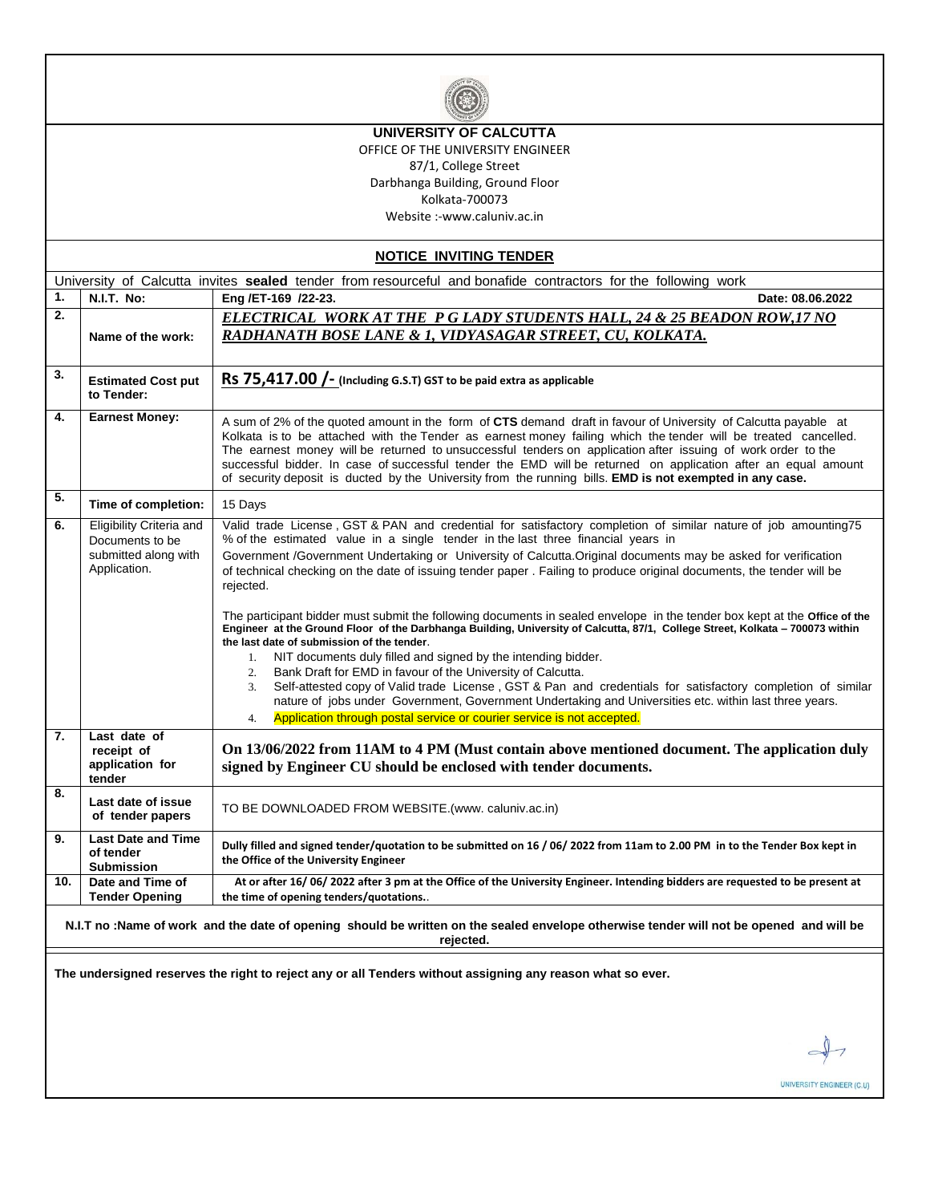

### **UNIVERSITY OF CALCUTTA**

OFFICE OF THE UNIVERSITY ENGINEER 87/1, College Street Darbhanga Building, Ground Floor Kolkata-700073

Website :-www.caluniv.ac.in

**NOTICE INVITING TENDER**

|     |                                                                                                                                                      | University of Calcutta invites sealed tender from resourceful and bonafide contractors for the following work                                                                                                                                                                                                                                                                                                                                                                                                                                                                                                                                                                                                                                                       |  |  |  |  |  |
|-----|------------------------------------------------------------------------------------------------------------------------------------------------------|---------------------------------------------------------------------------------------------------------------------------------------------------------------------------------------------------------------------------------------------------------------------------------------------------------------------------------------------------------------------------------------------------------------------------------------------------------------------------------------------------------------------------------------------------------------------------------------------------------------------------------------------------------------------------------------------------------------------------------------------------------------------|--|--|--|--|--|
| 1.  | N.I.T. No:                                                                                                                                           | Eng /ET-169 /22-23.<br>Date: 08.06.2022                                                                                                                                                                                                                                                                                                                                                                                                                                                                                                                                                                                                                                                                                                                             |  |  |  |  |  |
| 2.  |                                                                                                                                                      | <b>ELECTRICAL WORK AT THE P G LADY STUDENTS HALL, 24 &amp; 25 BEADON ROW, 17 NO</b>                                                                                                                                                                                                                                                                                                                                                                                                                                                                                                                                                                                                                                                                                 |  |  |  |  |  |
|     | Name of the work:                                                                                                                                    | RADHANATH BOSE LANE & 1, VIDYASAGAR STREET, CU, KOLKATA.                                                                                                                                                                                                                                                                                                                                                                                                                                                                                                                                                                                                                                                                                                            |  |  |  |  |  |
| 3.  | <b>Estimated Cost put</b><br>to Tender:                                                                                                              | RS $75,417.00$ $-$ (Including G.S.T) GST to be paid extra as applicable                                                                                                                                                                                                                                                                                                                                                                                                                                                                                                                                                                                                                                                                                             |  |  |  |  |  |
| 4.  | <b>Earnest Money:</b>                                                                                                                                | A sum of 2% of the quoted amount in the form of CTS demand draft in favour of University of Calcutta payable at<br>Kolkata is to be attached with the Tender as earnest money failing which the tender will be treated cancelled.<br>The earnest money will be returned to unsuccessful tenders on application after issuing of work order to the<br>successful bidder. In case of successful tender the EMD will be returned on application after an equal amount<br>of security deposit is ducted by the University from the running bills. <b>EMD is not exempted in any case.</b>                                                                                                                                                                               |  |  |  |  |  |
| 5.  | Time of completion:                                                                                                                                  | 15 Days                                                                                                                                                                                                                                                                                                                                                                                                                                                                                                                                                                                                                                                                                                                                                             |  |  |  |  |  |
| 6.  | Eligibility Criteria and<br>Documents to be<br>submitted along with<br>Application.                                                                  | Valid trade License, GST & PAN and credential for satisfactory completion of similar nature of job amounting75<br>% of the estimated value in a single tender in the last three financial years in<br>Government /Government Undertaking or University of Calcutta. Original documents may be asked for verification<br>of technical checking on the date of issuing tender paper. Failing to produce original documents, the tender will be<br>rejected.                                                                                                                                                                                                                                                                                                           |  |  |  |  |  |
|     |                                                                                                                                                      | The participant bidder must submit the following documents in sealed envelope in the tender box kept at the Office of the<br>Engineer at the Ground Floor of the Darbhanga Building, University of Calcutta, 87/1, College Street, Kolkata - 700073 within<br>the last date of submission of the tender.<br>NIT documents duly filled and signed by the intending bidder.<br>1.<br>Bank Draft for EMD in favour of the University of Calcutta.<br>2.<br>Self-attested copy of Valid trade License, GST & Pan and credentials for satisfactory completion of similar<br>3.<br>nature of jobs under Government, Government Undertaking and Universities etc. within last three years.<br>Application through postal service or courier service is not accepted.<br>4. |  |  |  |  |  |
| 7.  | Last date of<br>receipt of<br>application for<br>tender                                                                                              | On 13/06/2022 from 11AM to 4 PM (Must contain above mentioned document. The application duly<br>signed by Engineer CU should be enclosed with tender documents.                                                                                                                                                                                                                                                                                                                                                                                                                                                                                                                                                                                                     |  |  |  |  |  |
| 8.  | Last date of issue<br>of tender papers                                                                                                               | TO BE DOWNLOADED FROM WEBSITE.(www. caluniv.ac.in)                                                                                                                                                                                                                                                                                                                                                                                                                                                                                                                                                                                                                                                                                                                  |  |  |  |  |  |
| 9.  | <b>Last Date and Time</b><br>of tender<br><b>Submission</b>                                                                                          | Dully filled and signed tender/quotation to be submitted on 16 / 06/ 2022 from 11am to 2.00 PM in to the Tender Box kept in<br>the Office of the University Engineer                                                                                                                                                                                                                                                                                                                                                                                                                                                                                                                                                                                                |  |  |  |  |  |
| 10. | Date and Time of<br><b>Tender Opening</b>                                                                                                            | At or after 16/06/2022 after 3 pm at the Office of the University Engineer. Intending bidders are requested to be present at<br>the time of opening tenders/quotations                                                                                                                                                                                                                                                                                                                                                                                                                                                                                                                                                                                              |  |  |  |  |  |
|     | N.I.T no :Name of work and the date of opening should be written on the sealed envelope otherwise tender will not be opened and will be<br>rejected. |                                                                                                                                                                                                                                                                                                                                                                                                                                                                                                                                                                                                                                                                                                                                                                     |  |  |  |  |  |
|     |                                                                                                                                                      | The undersigned reserves the right to reject any or all Tenders without assigning any reason what so ever.                                                                                                                                                                                                                                                                                                                                                                                                                                                                                                                                                                                                                                                          |  |  |  |  |  |
|     |                                                                                                                                                      |                                                                                                                                                                                                                                                                                                                                                                                                                                                                                                                                                                                                                                                                                                                                                                     |  |  |  |  |  |

UNIVERSITY ENGINEER (C.U)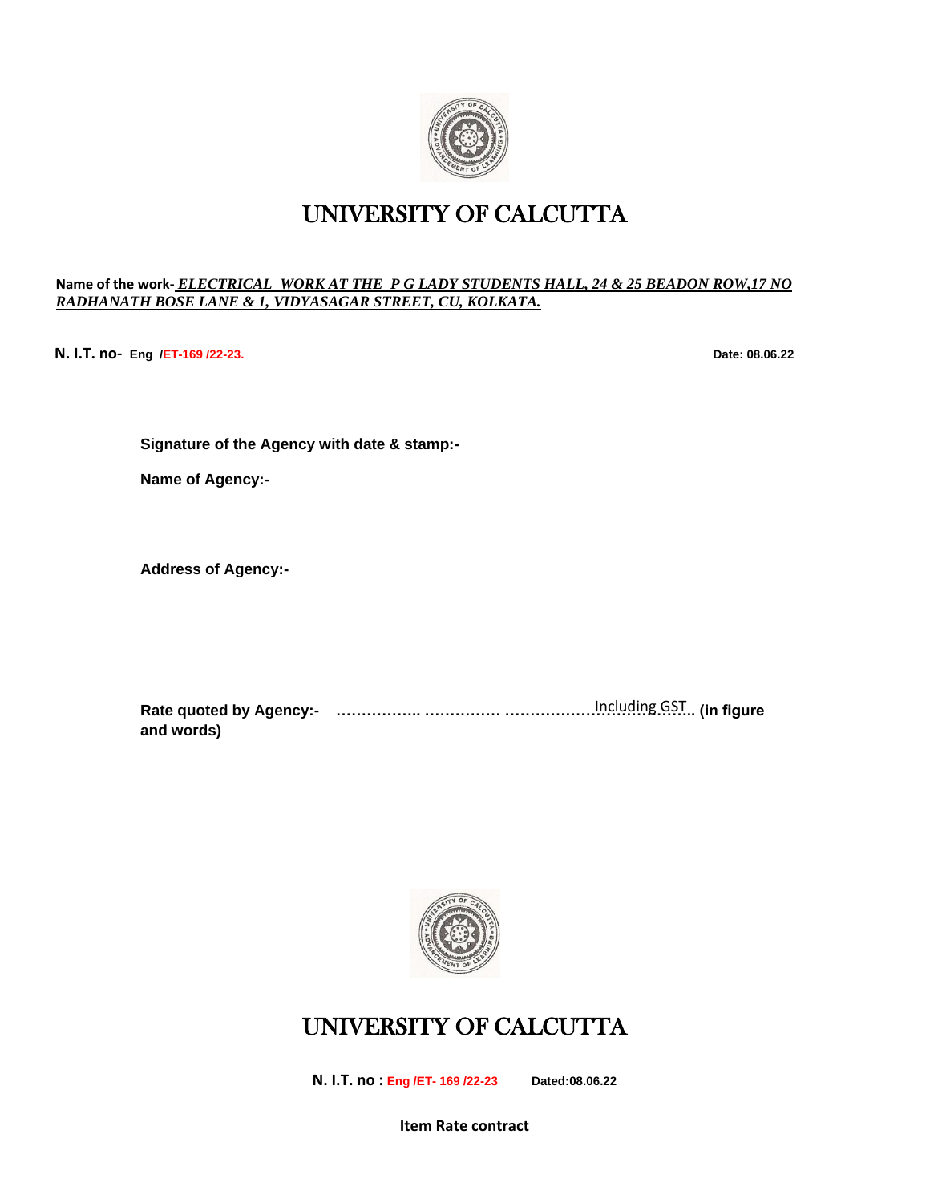

### UNIVERSITY OF CALCUTTA

#### **Name of the work-** *ELECTRICAL WORK AT THE P G LADY STUDENTS HALL, 24 & 25 BEADON ROW,17 NO RADHANATH BOSE LANE & 1, VIDYASAGAR STREET, CU, KOLKATA.*

**N. I.T. no- Eng /ET-169 /22-23. Date: 08.06.22**

**Signature of the Agency with date & stamp:-**

**Name of Agency:-**

**Address of Agency:-**

**Rate quoted by Agency:- …………….. …………… ……………………………….. (in figure**  Including GST**and words)**



# UNIVERSITY OF CALCUTTA

**N. I.T. no : Eng /ET- 169 /22-23 Dated:08.06.22**

**Item Rate contract**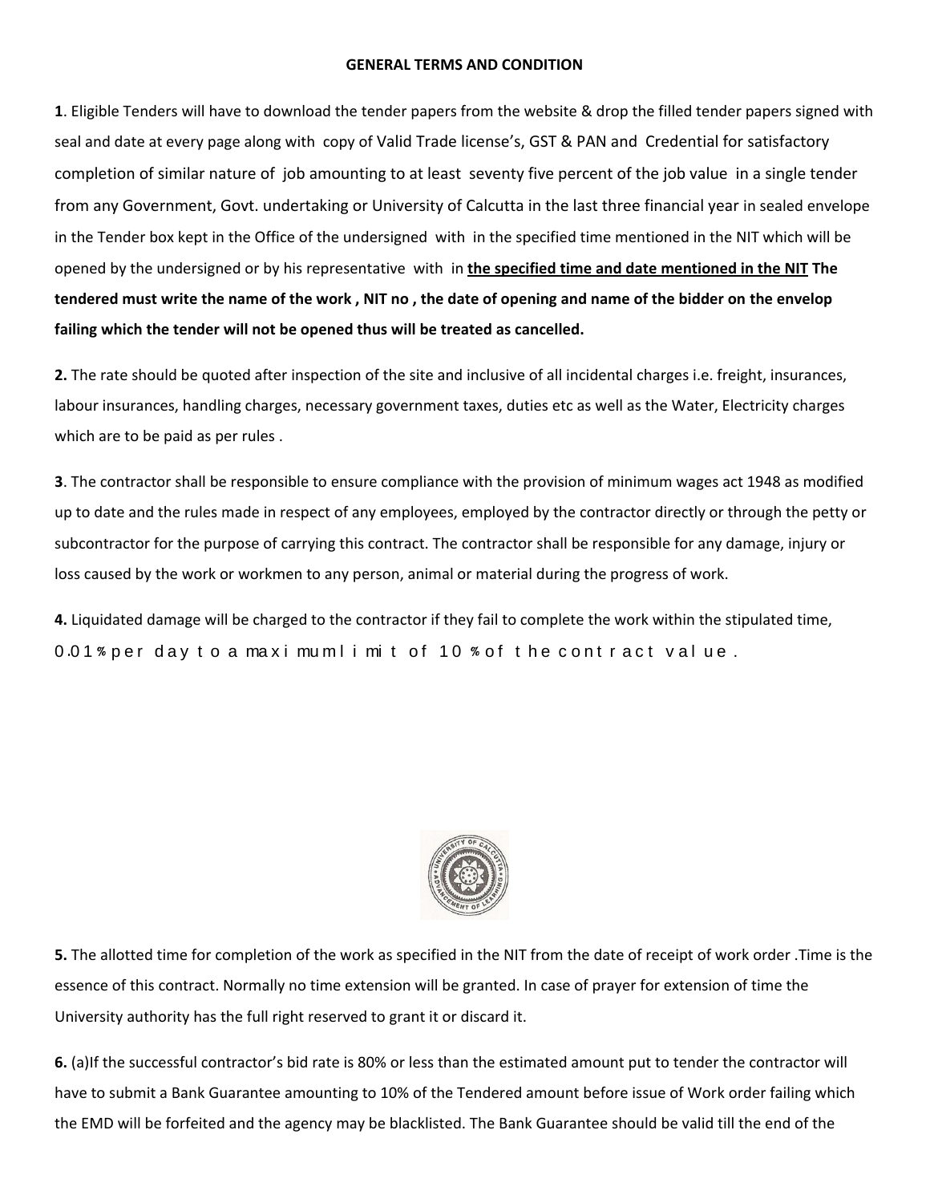#### **GENERAL TERMS AND CONDITION**

**1**. Eligible Tenders will have to download the tender papers from the website & drop the filled tender papers signed with seal and date at every page along with copy of Valid Trade license's, GST & PAN and Credential for satisfactory completion of similar nature of job amounting to at least seventy five percent of the job value in a single tender from any Government, Govt. undertaking or University of Calcutta in the last three financial year in sealed envelope in the Tender box kept in the Office of the undersigned with in the specified time mentioned in the NIT which will be opened by the undersigned or by his representative with in **the specified time and date mentioned in the NIT The tendered must write the name of the work , NIT no , the date of opening and name of the bidder on the envelop failing which the tender will not be opened thus will be treated as cancelled.**

**2.** The rate should be quoted after inspection of the site and inclusive of all incidental charges i.e. freight, insurances, labour insurances, handling charges, necessary government taxes, duties etc as well as the Water, Electricity charges which are to be paid as per rules .

**3**. The contractor shall be responsible to ensure compliance with the provision of minimum wages act 1948 as modified up to date and the rules made in respect of any employees, employed by the contractor directly or through the petty or subcontractor for the purpose of carrying this contract. The contractor shall be responsible for any damage, injury or loss caused by the work or workmen to any person, animal or material during the progress of work.

**4.** Liquidated damage will be charged to the contractor if they fail to complete the work within the stipulated time, 0.01% per day to a maximum limit of 10 % of the contract value.



**5.** The allotted time for completion of the work as specified in the NIT from the date of receipt of work order .Time is the essence of this contract. Normally no time extension will be granted. In case of prayer for extension of time the University authority has the full right reserved to grant it or discard it.

**6.** (a)If the successful contractor's bid rate is 80% or less than the estimated amount put to tender the contractor will have to submit a Bank Guarantee amounting to 10% of the Tendered amount before issue of Work order failing which the EMD will be forfeited and the agency may be blacklisted. The Bank Guarantee should be valid till the end of the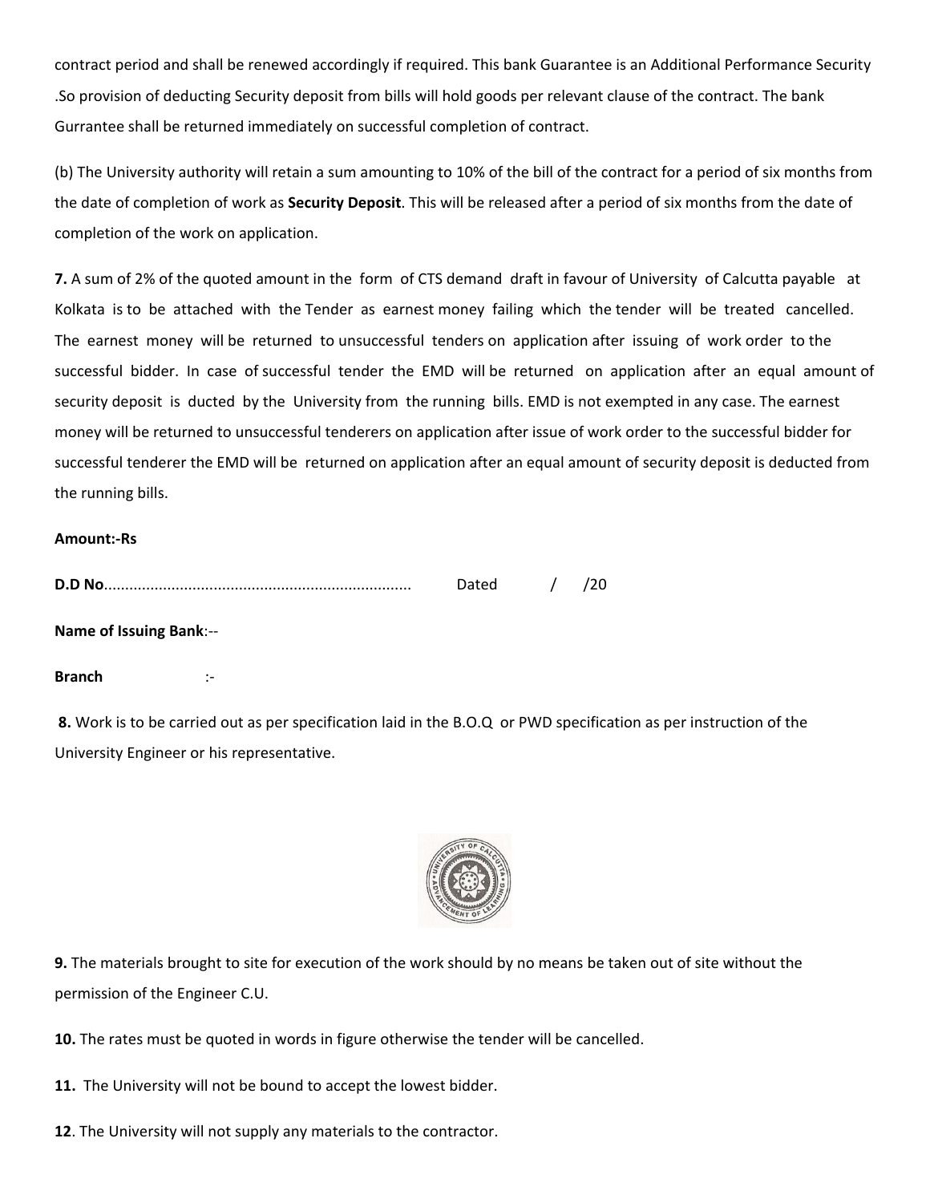contract period and shall be renewed accordingly if required. This bank Guarantee is an Additional Performance Security .So provision of deducting Security deposit from bills will hold goods per relevant clause of the contract. The bank Gurrantee shall be returned immediately on successful completion of contract.

(b) The University authority will retain a sum amounting to 10% of the bill of the contract for a period of six months from the date of completion of work as **Security Deposit**. This will be released after a period of six months from the date of completion of the work on application.

**7.** A sum of 2% of the quoted amount in the form of CTS demand draft in favour of University of Calcutta payable at Kolkata is to be attached with the Tender as earnest money failing which the tender will be treated cancelled. The earnest money will be returned to unsuccessful tenders on application after issuing of work order to the successful bidder. In case of successful tender the EMD will be returned on application after an equal amount of security deposit is ducted by the University from the running bills. EMD is not exempted in any case. The earnest money will be returned to unsuccessful tenderers on application after issue of work order to the successful bidder for successful tenderer the EMD will be returned on application after an equal amount of security deposit is deducted from the running bills.

#### **Amount:-Rs**

| D.D |  |  |
|-----|--|--|
|     |  |  |

#### **Name of Issuing Bank**:--

**Branch** :-

**8.** Work is to be carried out as per specification laid in the B.O.Q or PWD specification as per instruction of the University Engineer or his representative.



**9.** The materials brought to site for execution of the work should by no means be taken out of site without the permission of the Engineer C.U.

**10.** The rates must be quoted in words in figure otherwise the tender will be cancelled.

**11.** The University will not be bound to accept the lowest bidder.

**12**. The University will not supply any materials to the contractor.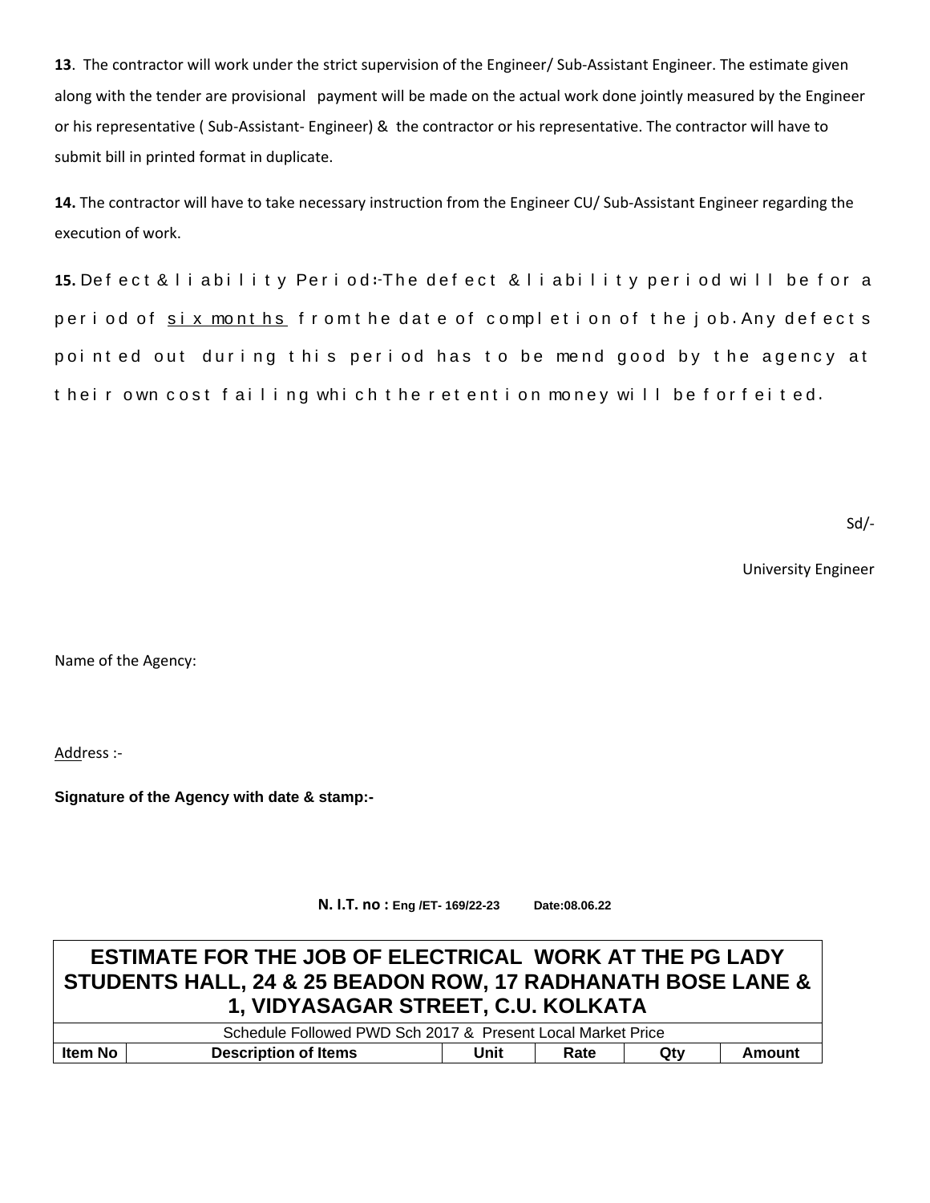**13**. The contractor will work under the strict supervision of the Engineer/ Sub-Assistant Engineer. The estimate given along with the tender are provisional payment will be made on the actual work done jointly measured by the Engineer or his representative ( Sub-Assistant- Engineer) & the contractor or his representative. The contractor will have to submit bill in printed format in duplicate.

**14.** The contractor will have to take necessary instruction from the Engineer CU/ Sub-Assistant Engineer regarding the execution of work.

**15.** Defect & liability Period: The defect & liability period will be for a period of six months from the date of completion of the job. Any defects pointed out during this period has to be mend good by the agency at t heir own cost failing which the retention money will be forfeited.

Sd/-

University Engineer

Name of the Agency:

Address :-

**Signature of the Agency with date & stamp:-**

**N. I.T. no : Eng /ET- 169/22-23 Date:08.06.22**

# **ESTIMATE FOR THE JOB OF ELECTRICAL WORK AT THE PG LADY STUDENTS HALL, 24 & 25 BEADON ROW, 17 RADHANATH BOSE LANE & 1, VIDYASAGAR STREET, C.U. KOLKATA**

|                |                             | Schedule Followed PWD Sch 2017 & Present Local Market Price |      |     |        |
|----------------|-----------------------------|-------------------------------------------------------------|------|-----|--------|
| <b>Item No</b> | <b>Description of Items</b> | Unit                                                        | Rate | Qt۷ | Amount |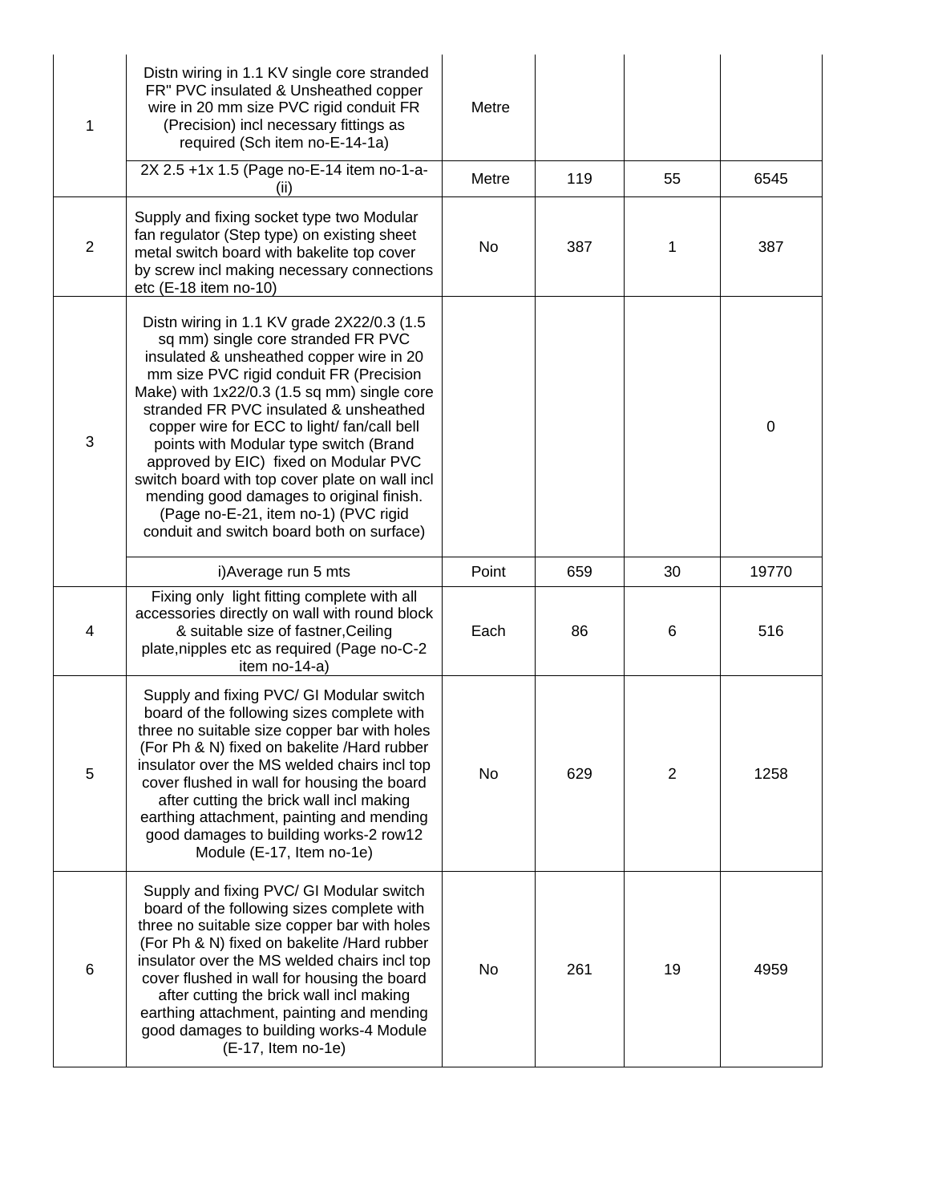| 1           | Distn wiring in 1.1 KV single core stranded<br>FR" PVC insulated & Unsheathed copper<br>wire in 20 mm size PVC rigid conduit FR<br>(Precision) incl necessary fittings as<br>required (Sch item no-E-14-1a)                                                                                                                                                                                                                                                                                                                                                                           | Metre |     |                |                  |
|-------------|---------------------------------------------------------------------------------------------------------------------------------------------------------------------------------------------------------------------------------------------------------------------------------------------------------------------------------------------------------------------------------------------------------------------------------------------------------------------------------------------------------------------------------------------------------------------------------------|-------|-----|----------------|------------------|
|             | 2X 2.5 +1x 1.5 (Page no-E-14 item no-1-a-<br>(ii)                                                                                                                                                                                                                                                                                                                                                                                                                                                                                                                                     | Metre | 119 | 55             | 6545             |
| $\mathbf 2$ | Supply and fixing socket type two Modular<br>fan regulator (Step type) on existing sheet<br>metal switch board with bakelite top cover<br>by screw incl making necessary connections<br>etc (E-18 item no-10)                                                                                                                                                                                                                                                                                                                                                                         | No    | 387 | 1              | 387              |
| 3           | Distn wiring in 1.1 KV grade 2X22/0.3 (1.5<br>sq mm) single core stranded FR PVC<br>insulated & unsheathed copper wire in 20<br>mm size PVC rigid conduit FR (Precision<br>Make) with 1x22/0.3 (1.5 sq mm) single core<br>stranded FR PVC insulated & unsheathed<br>copper wire for ECC to light/ fan/call bell<br>points with Modular type switch (Brand<br>approved by EIC) fixed on Modular PVC<br>switch board with top cover plate on wall incl<br>mending good damages to original finish.<br>(Page no-E-21, item no-1) (PVC rigid<br>conduit and switch board both on surface) |       |     |                | $\boldsymbol{0}$ |
|             | i) Average run 5 mts                                                                                                                                                                                                                                                                                                                                                                                                                                                                                                                                                                  | Point | 659 | 30             | 19770            |
| 4           | Fixing only light fitting complete with all<br>accessories directly on wall with round block<br>& suitable size of fastner, Ceiling<br>plate, nipples etc as required (Page no-C-2<br>item no-14-a)                                                                                                                                                                                                                                                                                                                                                                                   | Each  | 86  | 6              | 516              |
| 5           | Supply and fixing PVC/ GI Modular switch<br>board of the following sizes complete with<br>three no suitable size copper bar with holes<br>(For Ph & N) fixed on bakelite /Hard rubber<br>insulator over the MS welded chairs incl top<br>cover flushed in wall for housing the board<br>after cutting the brick wall incl making<br>earthing attachment, painting and mending<br>good damages to building works-2 row12<br>Module (E-17, Item no-1e)                                                                                                                                  | No    | 629 | $\overline{2}$ | 1258             |
| $\,6$       | Supply and fixing PVC/ GI Modular switch<br>board of the following sizes complete with<br>three no suitable size copper bar with holes<br>(For Ph & N) fixed on bakelite /Hard rubber<br>insulator over the MS welded chairs incl top<br>cover flushed in wall for housing the board<br>after cutting the brick wall incl making<br>earthing attachment, painting and mending<br>good damages to building works-4 Module<br>(E-17, Item no-1e)                                                                                                                                        | No    | 261 | 19             | 4959             |